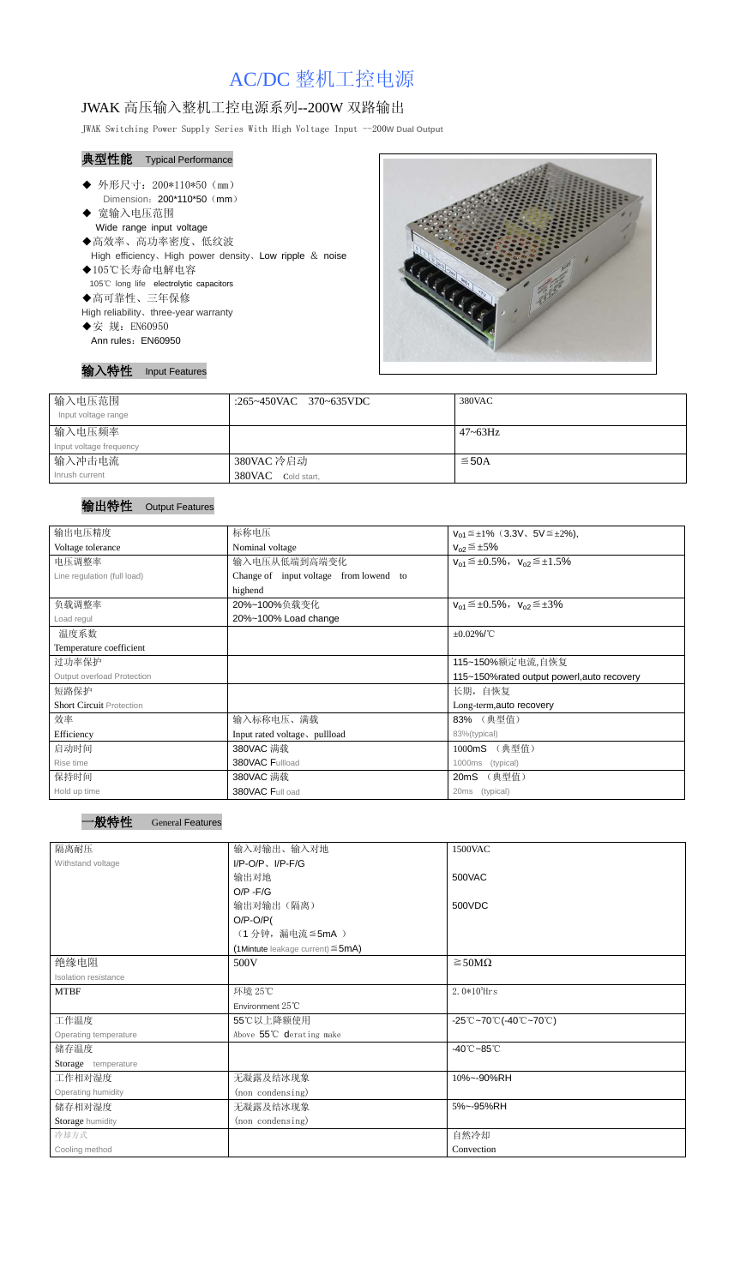# AC/DC 整机工控电源

## JWAK 高压输入整机工控电源系列--200W 双路输出

JWAK Switching Power Supply Series With High Voltage Input --200**W Dual Output**

#### 典型性能 Typical Performance

- Ī ◆ 外形尺寸: 200\*110\*50 (mm) Dimension: 200\*110\*50 (mm)
- ◆ 宽输入电压范围 Wide range input voltage
- ◆高效率、高功率密度、低纹波 High efficiency、High power density、Low ripple & noise ◆105℃长寿命电解电容
- 105℃ long life electrolytic capacitors
- ◆高可靠性、三年保修
- High reliability、three-year warranty
- ◆安 规: EN60950 Ann rules: EN60950



|  | DUI Féature<br>-- |
|--|-------------------|
|--|-------------------|

| 输入电压范围<br>Input voltage range | :265~450VAC 370~635VDC | 380VAC          |
|-------------------------------|------------------------|-----------------|
| 输入电压频率                        |                        | $47 \sim 63$ Hz |
| Input voltage frequency       |                        |                 |
| 输入冲击电流                        | 380VAC 冷启动             | $\leq$ 50A      |
| Inrush current                | 380VAC Cold start,     |                 |

### 输出特性 Output Features

| 输出电压精度                            | 标称电压                                        | $V_{01} \leq \pm 1\%$ (3.3V, 5V $\leq \pm 2\%$ ), |  |
|-----------------------------------|---------------------------------------------|---------------------------------------------------|--|
| Voltage tolerance                 | Nominal voltage                             | $V_{02} \leq \pm 5\%$                             |  |
| 电压调整率                             | 输入电压从低端到高端变化                                | $V_{01} \leq \pm 0.5\%$ , $V_{02} \leq \pm 1.5\%$ |  |
| Line regulation (full load)       | Change of input voltage from lowend to      |                                                   |  |
|                                   | highend                                     |                                                   |  |
| 负载调整率                             | 20%~100%负载变化                                | $V_{01} \leq \pm 0.5\%$ , $V_{02} \leq \pm 3\%$   |  |
| Load regul                        | 20%~100% Load change                        |                                                   |  |
| 温度系数                              | $\pm 0.02\%$ /°C                            |                                                   |  |
| Temperature coefficient           |                                             |                                                   |  |
| 过功率保护                             | 115~150%额定电流,自恢复                            |                                                   |  |
| <b>Output overload Protection</b> | 115~150% rated output powerl, auto recovery |                                                   |  |
| 短路保护                              | 长期, 自恢复                                     |                                                   |  |
| <b>Short Circuit Protection</b>   |                                             | Long-term, auto recovery                          |  |
| 效率                                | 输入标称电压、满载                                   | 83% (典型值)                                         |  |
| Efficiency                        | Input rated voltage, pullload               | 83%(typical)                                      |  |
| 启动时间                              | 380VAC 满载                                   | 1000mS (典型值)                                      |  |
| Rise time                         | 380VAC Fullload                             | (typical)<br>1000ms                               |  |
| 保持时间                              | 380VAC 满载                                   | 20mS (典型值)                                        |  |
| Hold up time                      | 380VAC Full oad                             | 20ms<br>(typical)                                 |  |

| 隔离耐压                  | 输入对输出、输入对地                                | 1500VAC                                                                                       |  |
|-----------------------|-------------------------------------------|-----------------------------------------------------------------------------------------------|--|
| Withstand voltage     | $I/P$ -O/P, $I/P$ -F/G                    |                                                                                               |  |
|                       | 输出对地                                      | 500VAC                                                                                        |  |
|                       | $O/P - F/G$                               |                                                                                               |  |
|                       | 输出对输出(隔离)                                 | 500VDC                                                                                        |  |
|                       | $O/P-O/P($                                |                                                                                               |  |
|                       | (1分钟,漏电流≦5mA)                             |                                                                                               |  |
|                       | $(1$ Mintute leakage current) $\leq$ 5mA) |                                                                                               |  |
| 绝缘电阻                  | 500V                                      | $\geq$ 50M $\Omega$                                                                           |  |
| Isolation resistance  |                                           |                                                                                               |  |
| <b>MTBF</b>           | 环境 25℃                                    | $2.0*105$ Hrs                                                                                 |  |
|                       | Environment 25°C                          |                                                                                               |  |
| 工作温度                  | 55℃以上降额使用                                 | $-25^{\circ}\text{C}$ ~70 $^{\circ}\text{C}$ (-40 $^{\circ}\text{C}$ ~70 $^{\circ}\text{C}$ ) |  |
| Operating temperature | Above 55°C derating make                  |                                                                                               |  |
| 储存温度                  |                                           | $-40^{\circ}$ C $-85^{\circ}$ C                                                               |  |
| Storage temperature   |                                           |                                                                                               |  |
| 工作相对湿度                | 无凝露及结冰现象                                  | 10%~-90%RH                                                                                    |  |
| Operating humidity    | (non condensing)                          |                                                                                               |  |
| 储存相对湿度                | 无凝露及结冰现象                                  | 5%~-95%RH                                                                                     |  |
| Storage humidity      | (non condensing)                          |                                                                                               |  |
| 冷却方式                  |                                           | 自然冷却                                                                                          |  |
| Cooling method        |                                           | Convection                                                                                    |  |